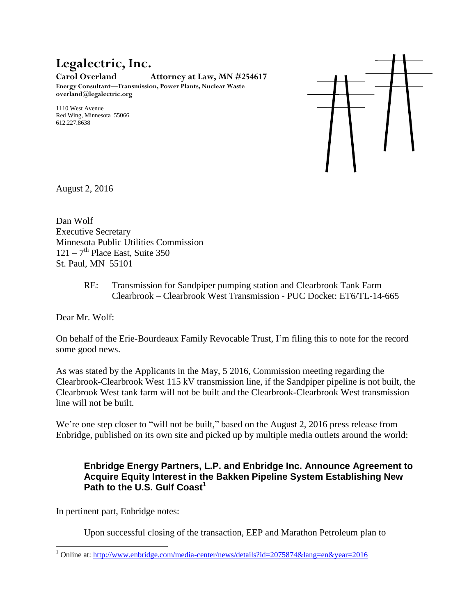## **Legalectric, Inc.**

**Carol Overland Attorney at Law, MN #254617**

**Energy Consultant—Transmission, Power Plants, Nuclear Waste overland@legalectric.org**

1110 West Avenue Red Wing, Minnesota 55066 612.227.8638



August 2, 2016

Dan Wolf Executive Secretary Minnesota Public Utilities Commission  $121 - 7$ <sup>th</sup> Place East, Suite 350 St. Paul, MN 55101

> RE: Transmission for Sandpiper pumping station and Clearbrook Tank Farm Clearbrook – Clearbrook West Transmission - PUC Docket: ET6/TL-14-665

Dear Mr. Wolf:

On behalf of the Erie-Bourdeaux Family Revocable Trust, I'm filing this to note for the record some good news.

As was stated by the Applicants in the May, 5 2016, Commission meeting regarding the Clearbrook-Clearbrook West 115 kV transmission line, if the Sandpiper pipeline is not built, the Clearbrook West tank farm will not be built and the Clearbrook-Clearbrook West transmission line will not be built.

We're one step closer to "will not be built," based on the August 2, 2016 press release from Enbridge, published on its own site and picked up by multiple media outlets around the world:

## **Enbridge Energy Partners, L.P. and Enbridge Inc. Announce Agreement to Acquire Equity Interest in the Bakken Pipeline System Establishing New Path to the U.S. Gulf Coast<sup>1</sup>**

In pertinent part, Enbridge notes:

l

Upon successful closing of the transaction, EEP and Marathon Petroleum plan to

<sup>1</sup> Online at:<http://www.enbridge.com/media-center/news/details?id=2075874&lang=en&year=2016>